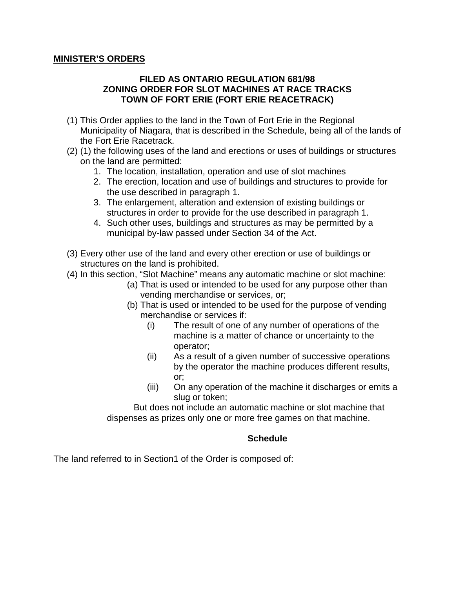#### **MINISTER'S ORDERS**

### **FILED AS ONTARIO REGULATION 681/98 ZONING ORDER FOR SLOT MACHINES AT RACE TRACKS TOWN OF FORT ERIE (FORT ERIE REACETRACK)**

- (1) This Order applies to the land in the Town of Fort Erie in the Regional Municipality of Niagara, that is described in the Schedule, being all of the lands of the Fort Erie Racetrack.
- (2) (1) the following uses of the land and erections or uses of buildings or structures on the land are permitted:
	- 1. The location, installation, operation and use of slot machines
	- 2. The erection, location and use of buildings and structures to provide for the use described in paragraph 1.
	- 3. The enlargement, alteration and extension of existing buildings or structures in order to provide for the use described in paragraph 1.
	- 4. Such other uses, buildings and structures as may be permitted by a municipal by-law passed under Section 34 of the Act.
- (3) Every other use of the land and every other erection or use of buildings or structures on the land is prohibited.
- (4) In this section, "Slot Machine" means any automatic machine or slot machine:
	- (a) That is used or intended to be used for any purpose other than vending merchandise or services, or;
	- (b) That is used or intended to be used for the purpose of vending merchandise or services if:
		- (i) The result of one of any number of operations of the machine is a matter of chance or uncertainty to the operator;
		- (ii) As a result of a given number of successive operations by the operator the machine produces different results, or;
		- (iii) On any operation of the machine it discharges or emits a slug or token;

But does not include an automatic machine or slot machine that dispenses as prizes only one or more free games on that machine.

### **Schedule**

The land referred to in Section1 of the Order is composed of: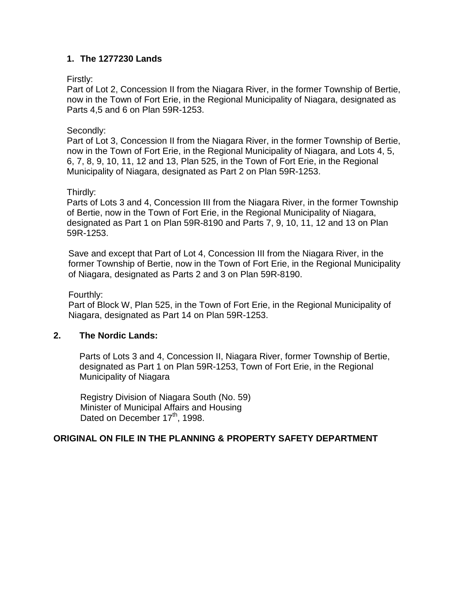## **1. The 1277230 Lands**

### Firstly:

Part of Lot 2, Concession II from the Niagara River, in the former Township of Bertie, now in the Town of Fort Erie, in the Regional Municipality of Niagara, designated as Parts 4,5 and 6 on Plan 59R-1253.

## Secondly:

Part of Lot 3, Concession II from the Niagara River, in the former Township of Bertie, now in the Town of Fort Erie, in the Regional Municipality of Niagara, and Lots 4, 5, 6, 7, 8, 9, 10, 11, 12 and 13, Plan 525, in the Town of Fort Erie, in the Regional Municipality of Niagara, designated as Part 2 on Plan 59R-1253.

## Thirdly:

Parts of Lots 3 and 4, Concession III from the Niagara River, in the former Township of Bertie, now in the Town of Fort Erie, in the Regional Municipality of Niagara, designated as Part 1 on Plan 59R-8190 and Parts 7, 9, 10, 11, 12 and 13 on Plan 59R-1253.

Save and except that Part of Lot 4, Concession III from the Niagara River, in the former Township of Bertie, now in the Town of Fort Erie, in the Regional Municipality of Niagara, designated as Parts 2 and 3 on Plan 59R-8190.

Fourthly:

Part of Block W, Plan 525, in the Town of Fort Erie, in the Regional Municipality of Niagara, designated as Part 14 on Plan 59R-1253.

# **2. The Nordic Lands:**

Parts of Lots 3 and 4, Concession II, Niagara River, former Township of Bertie, designated as Part 1 on Plan 59R-1253, Town of Fort Erie, in the Regional Municipality of Niagara

Registry Division of Niagara South (No. 59) Minister of Municipal Affairs and Housing Dated on December 17<sup>th</sup>, 1998.

# **ORIGINAL ON FILE IN THE PLANNING & PROPERTY SAFETY DEPARTMENT**